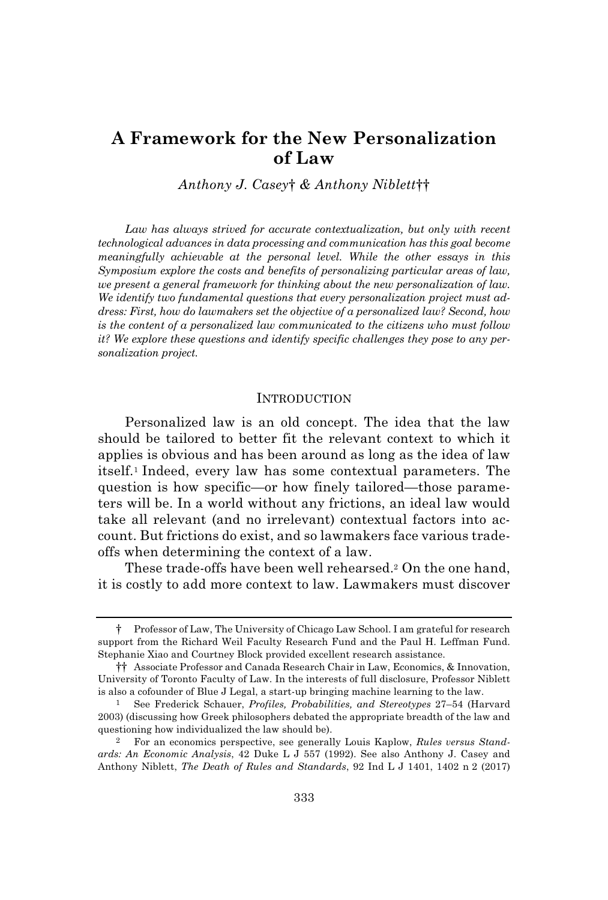# **A Framework for the New Personalization of Law**

*Anthony J. Casey*† *& Anthony Niblett*††

*Law has always strived for accurate contextualization, but only with recent technological advances in data processing and communication has this goal become meaningfully achievable at the personal level. While the other essays in this Symposium explore the costs and benefits of personalizing particular areas of law, we present a general framework for thinking about the new personalization of law. We identify two fundamental questions that every personalization project must address: First, how do lawmakers set the objective of a personalized law? Second, how is the content of a personalized law communicated to the citizens who must follow it? We explore these questions and identify specific challenges they pose to any personalization project.*

#### INTRODUCTION

Personalized law is an old concept. The idea that the law should be tailored to better fit the relevant context to which it applies is obvious and has been around as long as the idea of law itself.<sup>1</sup> Indeed, every law has some contextual parameters. The question is how specific—or how finely tailored—those parameters will be. In a world without any frictions, an ideal law would take all relevant (and no irrelevant) contextual factors into account. But frictions do exist, and so lawmakers face various tradeoffs when determining the context of a law.

These trade-offs have been well rehearsed.<sup>2</sup> On the one hand, it is costly to add more context to law. Lawmakers must discover

<sup>†</sup> Professor of Law, The University of Chicago Law School. I am grateful for research support from the Richard Weil Faculty Research Fund and the Paul H. Leffman Fund. Stephanie Xiao and Courtney Block provided excellent research assistance.

<sup>††</sup> Associate Professor and Canada Research Chair in Law, Economics, & Innovation, University of Toronto Faculty of Law. In the interests of full disclosure, Professor Niblett is also a cofounder of Blue J Legal, a start-up bringing machine learning to the law.

<sup>1</sup> See Frederick Schauer, *Profiles, Probabilities, and Stereotypes* 27–54 (Harvard 2003) (discussing how Greek philosophers debated the appropriate breadth of the law and questioning how individualized the law should be).

<sup>2</sup> For an economics perspective, see generally Louis Kaplow, *Rules versus Standards: An Economic Analysis*, 42 Duke L J 557 (1992). See also Anthony J. Casey and Anthony Niblett, *The Death of Rules and Standards*, 92 Ind L J 1401, 1402 n 2 (2017)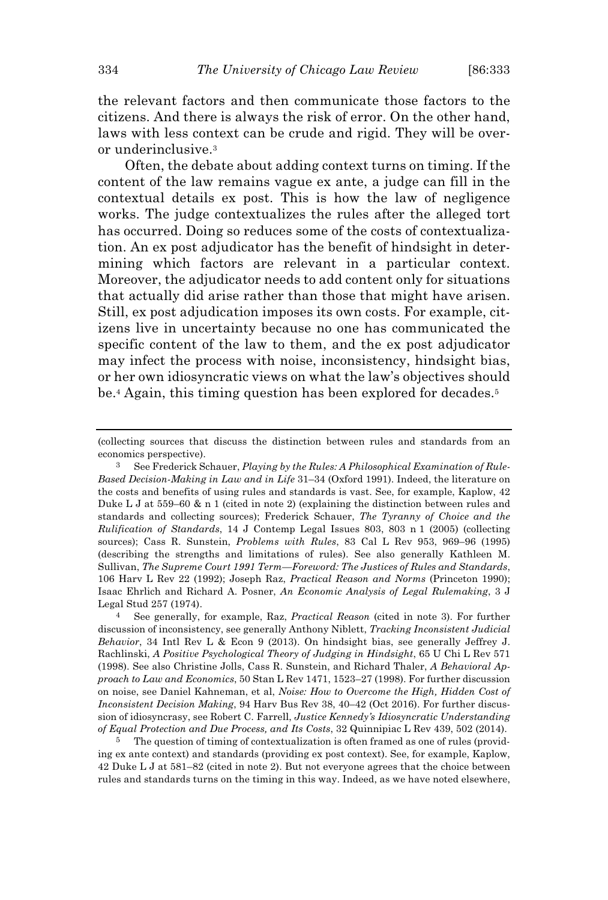the relevant factors and then communicate those factors to the citizens. And there is always the risk of error. On the other hand, laws with less context can be crude and rigid. They will be overor underinclusive.<sup>3</sup>

Often, the debate about adding context turns on timing. If the content of the law remains vague ex ante, a judge can fill in the contextual details ex post. This is how the law of negligence works. The judge contextualizes the rules after the alleged tort has occurred. Doing so reduces some of the costs of contextualization. An ex post adjudicator has the benefit of hindsight in determining which factors are relevant in a particular context. Moreover, the adjudicator needs to add content only for situations that actually did arise rather than those that might have arisen. Still, ex post adjudication imposes its own costs. For example, citizens live in uncertainty because no one has communicated the specific content of the law to them, and the ex post adjudicator may infect the process with noise, inconsistency, hindsight bias, or her own idiosyncratic views on what the law's objectives should be.<sup>4</sup> Again, this timing question has been explored for decades.<sup>5</sup>

<sup>(</sup>collecting sources that discuss the distinction between rules and standards from an economics perspective).

<sup>3</sup> See Frederick Schauer, *Playing by the Rules: A Philosophical Examination of Rule-Based Decision-Making in Law and in Life* 31–34 (Oxford 1991). Indeed, the literature on the costs and benefits of using rules and standards is vast. See, for example, Kaplow, 42 Duke L J at  $559-60 \& n 1$  (cited in note 2) (explaining the distinction between rules and standards and collecting sources); Frederick Schauer, *The Tyranny of Choice and the Rulification of Standards*, 14 J Contemp Legal Issues 803, 803 n 1 (2005) (collecting sources); Cass R. Sunstein, *Problems with Rules*, 83 Cal L Rev 953, 969–96 (1995) (describing the strengths and limitations of rules). See also generally Kathleen M. Sullivan, *The Supreme Court 1991 Term—Foreword: The Justices of Rules and Standards*, 106 Harv L Rev 22 (1992); Joseph Raz, *Practical Reason and Norms* (Princeton 1990); Isaac Ehrlich and Richard A. Posner, *An Economic Analysis of Legal Rulemaking*, 3 J Legal Stud 257 (1974).

<sup>4</sup> See generally, for example, Raz, *Practical Reason* (cited in note 3). For further discussion of inconsistency, see generally Anthony Niblett, *Tracking Inconsistent Judicial Behavior*, 34 Intl Rev L & Econ 9 (2013). On hindsight bias, see generally Jeffrey J. Rachlinski, *A Positive Psychological Theory of Judging in Hindsight*, 65 U Chi L Rev 571 (1998). See also Christine Jolls, Cass R. Sunstein, and Richard Thaler, *A Behavioral Approach to Law and Economics*, 50 Stan L Rev 1471, 1523–27 (1998). For further discussion on noise, see Daniel Kahneman, et al, *Noise: How to Overcome the High, Hidden Cost of Inconsistent Decision Making*, 94 Harv Bus Rev 38, 40–42 (Oct 2016). For further discussion of idiosyncrasy, see Robert C. Farrell, *Justice Kennedy's Idiosyncratic Understanding of Equal Protection and Due Process, and Its Costs*, 32 Quinnipiac L Rev 439, 502 (2014).

<sup>&</sup>lt;sup>5</sup> The question of timing of contextualization is often framed as one of rules (providing ex ante context) and standards (providing ex post context). See, for example, Kaplow, 42 Duke L J at 581–82 (cited in note 2). But not everyone agrees that the choice between rules and standards turns on the timing in this way. Indeed, as we have noted elsewhere,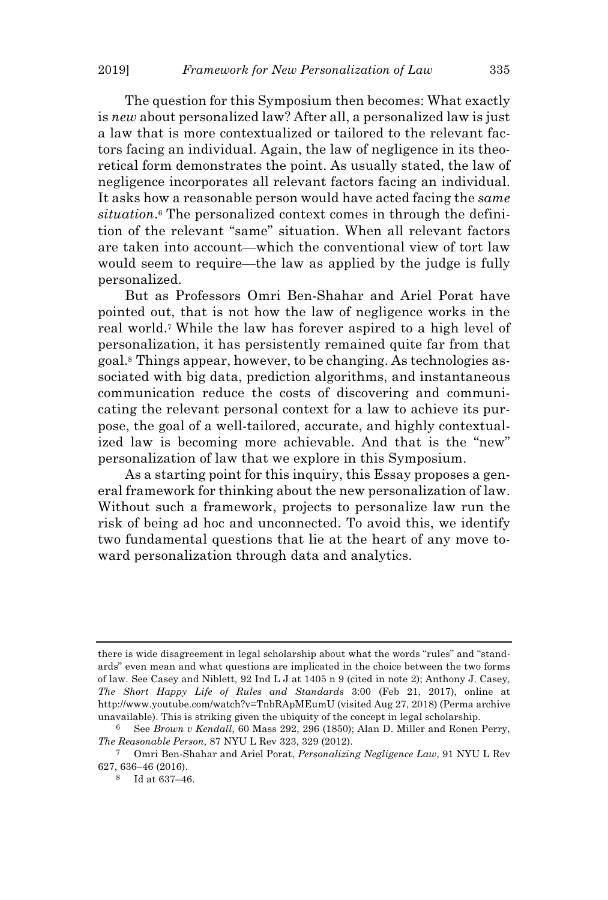The question for this Symposium then becomes: What exactly is *new* about personalized law? After all, a personalized law is just a law that is more contextualized or tailored to the relevant factors facing an individual. Again, the law of negligence in its theoretical form demonstrates the point. As usually stated, the law of negligence incorporates all relevant factors facing an individual. It asks how a reasonable person would have acted facing the *same situation*. <sup>6</sup> The personalized context comes in through the definition of the relevant "same" situation. When all relevant factors are taken into account—which the conventional view of tort law would seem to require—the law as applied by the judge is fully personalized.

But as Professors Omri Ben-Shahar and Ariel Porat have pointed out, that is not how the law of negligence works in the real world.<sup>7</sup> While the law has forever aspired to a high level of personalization, it has persistently remained quite far from that goal.<sup>8</sup> Things appear, however, to be changing. As technologies associated with big data, prediction algorithms, and instantaneous communication reduce the costs of discovering and communicating the relevant personal context for a law to achieve its purpose, the goal of a well-tailored, accurate, and highly contextualized law is becoming more achievable. And that is the "new" personalization of law that we explore in this Symposium.

As a starting point for this inquiry, this Essay proposes a general framework for thinking about the new personalization of law. Without such a framework, projects to personalize law run the risk of being ad hoc and unconnected. To avoid this, we identify two fundamental questions that lie at the heart of any move toward personalization through data and analytics.

there is wide disagreement in legal scholarship about what the words "rules" and "standards" even mean and what questions are implicated in the choice between the two forms of law. See Casey and Niblett, 92 Ind L J at 1405 n 9 (cited in note 2); Anthony J. Casey, *The Short Happy Life of Rules and Standards* 3:00 (Feb 21, 2017), online at http://www.youtube.com/watch?v=TnbRApMEumU (visited Aug 27, 2018) (Perma archive unavailable). This is striking given the ubiquity of the concept in legal scholarship.

<sup>6</sup> See *Brown v Kendall*, 60 Mass 292, 296 (1850); Alan D. Miller and Ronen Perry, *The Reasonable Person,* 87 NYU L Rev 323, 329 (2012).

<sup>7</sup> Omri Ben-Shahar and Ariel Porat, *Personalizing Negligence Law*, 91 NYU L Rev 627, 636–46 (2016).

<sup>8</sup> Id at 637–46.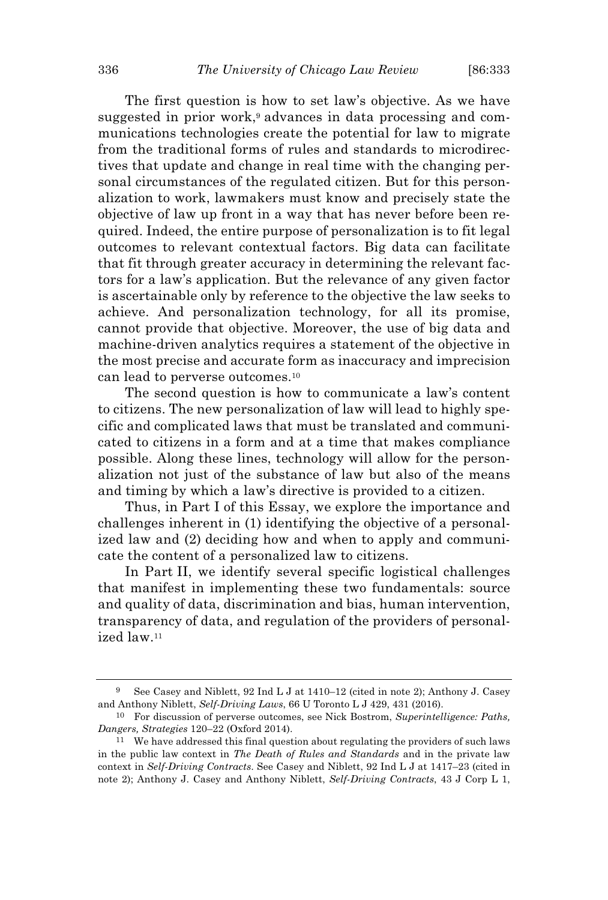The first question is how to set law's objective. As we have suggested in prior work,<sup>9</sup> advances in data processing and communications technologies create the potential for law to migrate from the traditional forms of rules and standards to microdirectives that update and change in real time with the changing personal circumstances of the regulated citizen. But for this personalization to work, lawmakers must know and precisely state the objective of law up front in a way that has never before been required. Indeed, the entire purpose of personalization is to fit legal outcomes to relevant contextual factors. Big data can facilitate that fit through greater accuracy in determining the relevant factors for a law's application. But the relevance of any given factor is ascertainable only by reference to the objective the law seeks to achieve. And personalization technology, for all its promise, cannot provide that objective. Moreover, the use of big data and machine-driven analytics requires a statement of the objective in the most precise and accurate form as inaccuracy and imprecision can lead to perverse outcomes.<sup>10</sup>

The second question is how to communicate a law's content to citizens. The new personalization of law will lead to highly specific and complicated laws that must be translated and communicated to citizens in a form and at a time that makes compliance possible. Along these lines, technology will allow for the personalization not just of the substance of law but also of the means and timing by which a law's directive is provided to a citizen.

Thus, in Part I of this Essay, we explore the importance and challenges inherent in (1) identifying the objective of a personalized law and (2) deciding how and when to apply and communicate the content of a personalized law to citizens.

In Part II, we identify several specific logistical challenges that manifest in implementing these two fundamentals: source and quality of data, discrimination and bias, human intervention, transparency of data, and regulation of the providers of personalized law.<sup>11</sup>

<sup>9</sup> See Casey and Niblett, 92 Ind L J at 1410–12 (cited in note 2); Anthony J. Casey and Anthony Niblett, *Self-Driving Laws*, 66 U Toronto L J 429, 431 (2016).

<sup>10</sup> For discussion of perverse outcomes, see Nick Bostrom, *Superintelligence: Paths, Dangers, Strategies* 120–22 (Oxford 2014).

<sup>11</sup> We have addressed this final question about regulating the providers of such laws in the public law context in *The Death of Rules and Standards* and in the private law context in *Self-Driving Contracts*. See Casey and Niblett, 92 Ind L J at 1417–23 (cited in note 2); Anthony J. Casey and Anthony Niblett, *Self-Driving Contracts*, 43 J Corp L 1,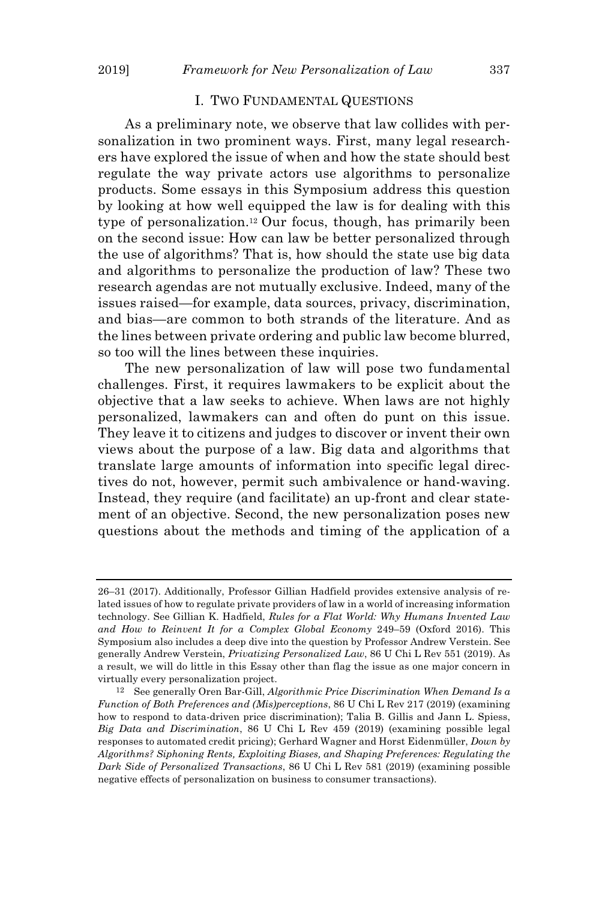## I. TWO FUNDAMENTAL QUESTIONS

As a preliminary note, we observe that law collides with personalization in two prominent ways. First, many legal researchers have explored the issue of when and how the state should best regulate the way private actors use algorithms to personalize products. Some essays in this Symposium address this question by looking at how well equipped the law is for dealing with this type of personalization.<sup>12</sup> Our focus, though, has primarily been on the second issue: How can law be better personalized through the use of algorithms? That is, how should the state use big data and algorithms to personalize the production of law? These two research agendas are not mutually exclusive. Indeed, many of the issues raised—for example, data sources, privacy, discrimination, and bias—are common to both strands of the literature. And as the lines between private ordering and public law become blurred, so too will the lines between these inquiries.

The new personalization of law will pose two fundamental challenges. First, it requires lawmakers to be explicit about the objective that a law seeks to achieve. When laws are not highly personalized, lawmakers can and often do punt on this issue. They leave it to citizens and judges to discover or invent their own views about the purpose of a law. Big data and algorithms that translate large amounts of information into specific legal directives do not, however, permit such ambivalence or hand-waving. Instead, they require (and facilitate) an up-front and clear statement of an objective. Second, the new personalization poses new questions about the methods and timing of the application of a

<sup>26–31 (2017).</sup> Additionally, Professor Gillian Hadfield provides extensive analysis of related issues of how to regulate private providers of law in a world of increasing information technology. See Gillian K. Hadfield, *Rules for a Flat World: Why Humans Invented Law and How to Reinvent It for a Complex Global Economy* 249–59 (Oxford 2016). This Symposium also includes a deep dive into the question by Professor Andrew Verstein. See generally Andrew Verstein, *Privatizing Personalized Law*, 86 U Chi L Rev 551 (2019). As a result, we will do little in this Essay other than flag the issue as one major concern in virtually every personalization project.

<sup>12</sup> See generally Oren Bar-Gill, *Algorithmic Price Discrimination When Demand Is a Function of Both Preferences and (Mis)perceptions*, 86 U Chi L Rev 217 (2019) (examining how to respond to data-driven price discrimination); Talia B. Gillis and Jann L. Spiess, *Big Data and Discrimination*, 86 U Chi L Rev 459 (2019) (examining possible legal responses to automated credit pricing); Gerhard Wagner and Horst Eidenmüller, *Down by Algorithms? Siphoning Rents, Exploiting Biases, and Shaping Preferences: Regulating the Dark Side of Personalized Transactions*, 86 U Chi L Rev 581 (2019) (examining possible negative effects of personalization on business to consumer transactions).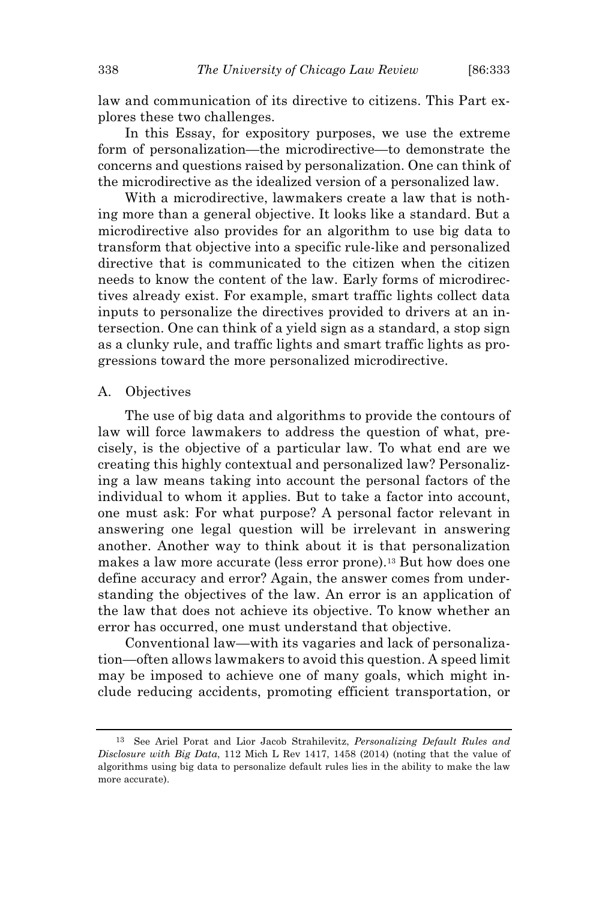law and communication of its directive to citizens. This Part explores these two challenges.

In this Essay, for expository purposes, we use the extreme form of personalization—the microdirective—to demonstrate the concerns and questions raised by personalization. One can think of the microdirective as the idealized version of a personalized law.

With a microdirective, lawmakers create a law that is nothing more than a general objective. It looks like a standard. But a microdirective also provides for an algorithm to use big data to transform that objective into a specific rule-like and personalized directive that is communicated to the citizen when the citizen needs to know the content of the law. Early forms of microdirectives already exist. For example, smart traffic lights collect data inputs to personalize the directives provided to drivers at an intersection. One can think of a yield sign as a standard, a stop sign as a clunky rule, and traffic lights and smart traffic lights as progressions toward the more personalized microdirective.

#### A. Objectives

The use of big data and algorithms to provide the contours of law will force lawmakers to address the question of what, precisely, is the objective of a particular law. To what end are we creating this highly contextual and personalized law? Personalizing a law means taking into account the personal factors of the individual to whom it applies. But to take a factor into account, one must ask: For what purpose? A personal factor relevant in answering one legal question will be irrelevant in answering another. Another way to think about it is that personalization makes a law more accurate (less error prone).<sup>13</sup> But how does one define accuracy and error? Again, the answer comes from understanding the objectives of the law. An error is an application of the law that does not achieve its objective. To know whether an error has occurred, one must understand that objective.

Conventional law—with its vagaries and lack of personalization—often allows lawmakers to avoid this question. A speed limit may be imposed to achieve one of many goals, which might include reducing accidents, promoting efficient transportation, or

<sup>13</sup> See Ariel Porat and Lior Jacob Strahilevitz, *Personalizing Default Rules and Disclosure with Big Data*, 112 Mich L Rev 1417, 1458 (2014) (noting that the value of algorithms using big data to personalize default rules lies in the ability to make the law more accurate).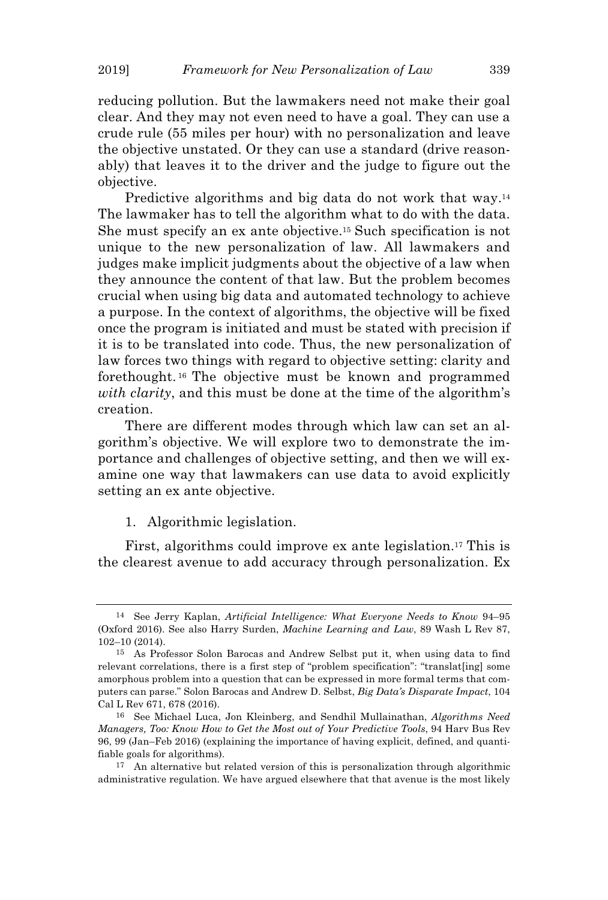reducing pollution. But the lawmakers need not make their goal clear. And they may not even need to have a goal. They can use a crude rule (55 miles per hour) with no personalization and leave the objective unstated. Or they can use a standard (drive reasonably) that leaves it to the driver and the judge to figure out the objective.

Predictive algorithms and big data do not work that way.<sup>14</sup> The lawmaker has to tell the algorithm what to do with the data. She must specify an ex ante objective.<sup>15</sup> Such specification is not unique to the new personalization of law. All lawmakers and judges make implicit judgments about the objective of a law when they announce the content of that law. But the problem becomes crucial when using big data and automated technology to achieve a purpose. In the context of algorithms, the objective will be fixed once the program is initiated and must be stated with precision if it is to be translated into code. Thus, the new personalization of law forces two things with regard to objective setting: clarity and forethought. <sup>16</sup> The objective must be known and programmed *with clarity*, and this must be done at the time of the algorithm's creation.

There are different modes through which law can set an algorithm's objective. We will explore two to demonstrate the importance and challenges of objective setting, and then we will examine one way that lawmakers can use data to avoid explicitly setting an ex ante objective.

## 1. Algorithmic legislation.

First, algorithms could improve ex ante legislation.<sup>17</sup> This is the clearest avenue to add accuracy through personalization. Ex

<sup>14</sup> See Jerry Kaplan, *Artificial Intelligence: What Everyone Needs to Know* 94–95 (Oxford 2016). See also Harry Surden, *Machine Learning and Law*, 89 Wash L Rev 87, 102–10 (2014).

<sup>15</sup> As Professor Solon Barocas and Andrew Selbst put it, when using data to find relevant correlations, there is a first step of "problem specification": "translat[ing] some amorphous problem into a question that can be expressed in more formal terms that computers can parse." Solon Barocas and Andrew D. Selbst, *Big Data's Disparate Impact*, 104 Cal L Rev 671, 678 (2016).

<sup>16</sup> See Michael Luca, Jon Kleinberg, and Sendhil Mullainathan, *Algorithms Need Managers, Too: Know How to Get the Most out of Your Predictive Tools*, 94 Harv Bus Rev 96, 99 (Jan–Feb 2016) (explaining the importance of having explicit, defined, and quantifiable goals for algorithms).

<sup>&</sup>lt;sup>17</sup> An alternative but related version of this is personalization through algorithmic administrative regulation. We have argued elsewhere that that avenue is the most likely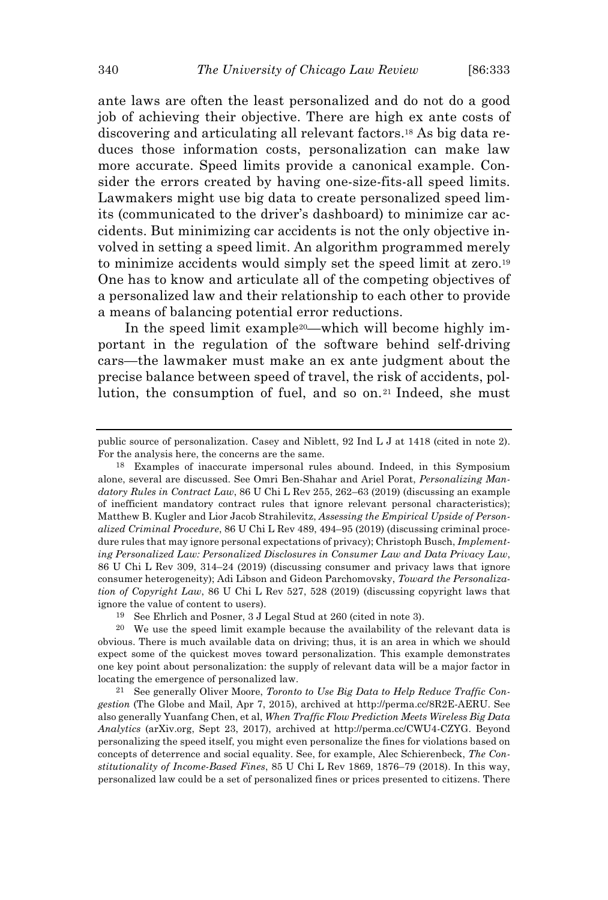ante laws are often the least personalized and do not do a good job of achieving their objective. There are high ex ante costs of discovering and articulating all relevant factors.<sup>18</sup> As big data reduces those information costs, personalization can make law more accurate. Speed limits provide a canonical example. Consider the errors created by having one-size-fits-all speed limits. Lawmakers might use big data to create personalized speed limits (communicated to the driver's dashboard) to minimize car accidents. But minimizing car accidents is not the only objective involved in setting a speed limit. An algorithm programmed merely to minimize accidents would simply set the speed limit at zero.<sup>19</sup> One has to know and articulate all of the competing objectives of a personalized law and their relationship to each other to provide a means of balancing potential error reductions.

In the speed limit example<sup>20</sup>—which will become highly important in the regulation of the software behind self-driving cars—the lawmaker must make an ex ante judgment about the precise balance between speed of travel, the risk of accidents, pollution, the consumption of fuel, and so on.<sup>21</sup> Indeed, she must

public source of personalization. Casey and Niblett, 92 Ind L J at 1418 (cited in note 2). For the analysis here, the concerns are the same.

<sup>18</sup> Examples of inaccurate impersonal rules abound. Indeed, in this Symposium alone, several are discussed. See Omri Ben-Shahar and Ariel Porat, *Personalizing Mandatory Rules in Contract Law*, 86 U Chi L Rev 255, 262–63 (2019) (discussing an example of inefficient mandatory contract rules that ignore relevant personal characteristics); Matthew B. Kugler and Lior Jacob Strahilevitz, *Assessing the Empirical Upside of Personalized Criminal Procedure*, 86 U Chi L Rev 489, 494–95 (2019) (discussing criminal procedure rules that may ignore personal expectations of privacy); Christoph Busch, *Implementing Personalized Law: Personalized Disclosures in Consumer Law and Data Privacy Law*, 86 U Chi L Rev 309, 314–24 (2019) (discussing consumer and privacy laws that ignore consumer heterogeneity); Adi Libson and Gideon Parchomovsky, *Toward the Personalization of Copyright Law*, 86 U Chi L Rev 527, 528 (2019) (discussing copyright laws that ignore the value of content to users).

<sup>19</sup> See Ehrlich and Posner, 3 J Legal Stud at 260 (cited in note 3).

<sup>20</sup> We use the speed limit example because the availability of the relevant data is obvious. There is much available data on driving; thus, it is an area in which we should expect some of the quickest moves toward personalization. This example demonstrates one key point about personalization: the supply of relevant data will be a major factor in locating the emergence of personalized law.

<sup>21</sup> See generally Oliver Moore, *Toronto to Use Big Data to Help Reduce Traffic Congestion* (The Globe and Mail, Apr 7, 2015), archived at http://perma.cc/8R2E-AERU. See also generally Yuanfang Chen, et al, *When Traffic Flow Prediction Meets Wireless Big Data Analytics* (arXiv.org, Sept 23, 2017), archived at http://perma.cc/CWU4-CZYG. Beyond personalizing the speed itself, you might even personalize the fines for violations based on concepts of deterrence and social equality. See, for example, Alec Schierenbeck, *The Constitutionality of Income-Based Fines*, 85 U Chi L Rev 1869, 1876–79 (2018). In this way, personalized law could be a set of personalized fines or prices presented to citizens. There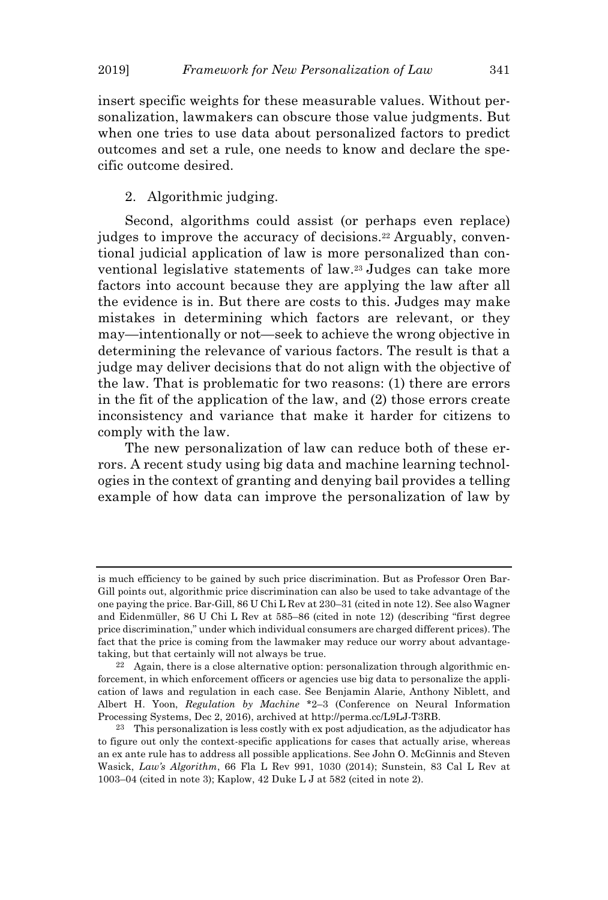insert specific weights for these measurable values. Without personalization, lawmakers can obscure those value judgments. But when one tries to use data about personalized factors to predict outcomes and set a rule, one needs to know and declare the specific outcome desired.

# 2. Algorithmic judging.

Second, algorithms could assist (or perhaps even replace) judges to improve the accuracy of decisions.<sup>22</sup> Arguably, conventional judicial application of law is more personalized than conventional legislative statements of law.<sup>23</sup> Judges can take more factors into account because they are applying the law after all the evidence is in. But there are costs to this. Judges may make mistakes in determining which factors are relevant, or they may—intentionally or not—seek to achieve the wrong objective in determining the relevance of various factors. The result is that a judge may deliver decisions that do not align with the objective of the law. That is problematic for two reasons: (1) there are errors in the fit of the application of the law, and (2) those errors create inconsistency and variance that make it harder for citizens to comply with the law.

The new personalization of law can reduce both of these errors. A recent study using big data and machine learning technologies in the context of granting and denying bail provides a telling example of how data can improve the personalization of law by

is much efficiency to be gained by such price discrimination. But as Professor Oren Bar-Gill points out, algorithmic price discrimination can also be used to take advantage of the one paying the price. Bar-Gill, 86 U Chi L Rev at 230–31 (cited in note 12). See also Wagner and Eidenmüller, 86 U Chi L Rev at 585–86 (cited in note 12) (describing "first degree price discrimination," under which individual consumers are charged different prices). The fact that the price is coming from the lawmaker may reduce our worry about advantagetaking, but that certainly will not always be true.

<sup>22</sup> Again, there is a close alternative option: personalization through algorithmic enforcement, in which enforcement officers or agencies use big data to personalize the application of laws and regulation in each case. See Benjamin Alarie, Anthony Niblett, and Albert H. Yoon, *Regulation by Machine* \*2–3 (Conference on Neural Information Processing Systems, Dec 2, 2016), archived at http://perma.cc/L9LJ-T3RB.

 $23$  This personalization is less costly with ex post adjudication, as the adjudicator has to figure out only the context-specific applications for cases that actually arise, whereas an ex ante rule has to address all possible applications. See John O. McGinnis and Steven Wasick, *Law's Algorithm*, 66 Fla L Rev 991, 1030 (2014); Sunstein, 83 Cal L Rev at 1003–04 (cited in note 3); Kaplow, 42 Duke L J at 582 (cited in note 2).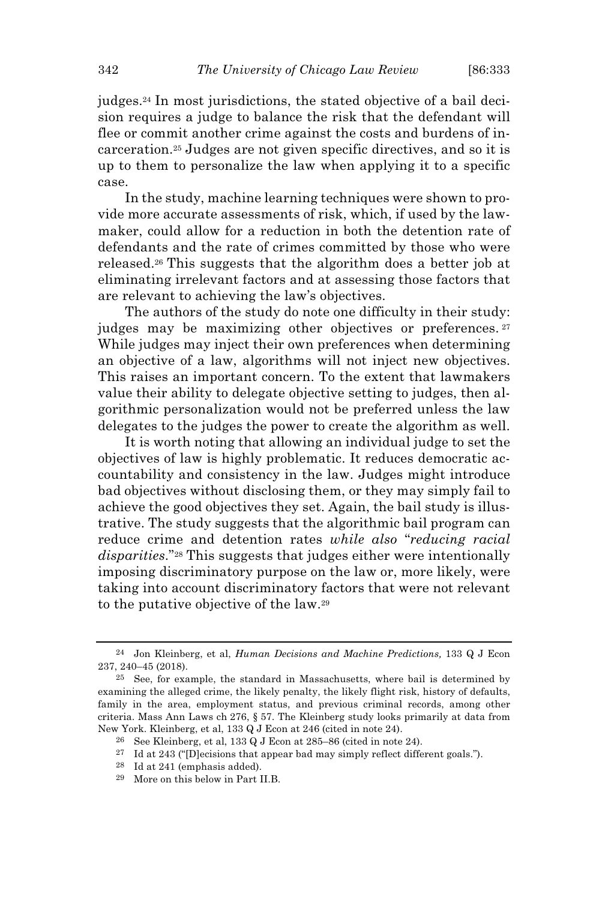judges.<sup>24</sup> In most jurisdictions, the stated objective of a bail decision requires a judge to balance the risk that the defendant will flee or commit another crime against the costs and burdens of incarceration.<sup>25</sup> Judges are not given specific directives, and so it is up to them to personalize the law when applying it to a specific case.

In the study, machine learning techniques were shown to provide more accurate assessments of risk, which, if used by the lawmaker, could allow for a reduction in both the detention rate of defendants and the rate of crimes committed by those who were released.<sup>26</sup> This suggests that the algorithm does a better job at eliminating irrelevant factors and at assessing those factors that are relevant to achieving the law's objectives.

The authors of the study do note one difficulty in their study: judges may be maximizing other objectives or preferences. <sup>27</sup> While judges may inject their own preferences when determining an objective of a law, algorithms will not inject new objectives. This raises an important concern. To the extent that lawmakers value their ability to delegate objective setting to judges, then algorithmic personalization would not be preferred unless the law delegates to the judges the power to create the algorithm as well.

It is worth noting that allowing an individual judge to set the objectives of law is highly problematic. It reduces democratic accountability and consistency in the law. Judges might introduce bad objectives without disclosing them, or they may simply fail to achieve the good objectives they set. Again, the bail study is illustrative. The study suggests that the algorithmic bail program can reduce crime and detention rates *while also* "*reducing racial disparities*."<sup>28</sup> This suggests that judges either were intentionally imposing discriminatory purpose on the law or, more likely, were taking into account discriminatory factors that were not relevant to the putative objective of the law.<sup>29</sup>

<sup>24</sup> Jon Kleinberg, et al, *Human Decisions and Machine Predictions,* 133 Q J Econ 237, 240–45 (2018).

<sup>25</sup> See, for example, the standard in Massachusetts, where bail is determined by examining the alleged crime, the likely penalty, the likely flight risk, history of defaults, family in the area, employment status, and previous criminal records, among other criteria. Mass Ann Laws ch 276, § 57. The Kleinberg study looks primarily at data from New York. Kleinberg, et al, 133 Q J Econ at 246 (cited in note 24).

<sup>26</sup> See Kleinberg, et al, 133 Q J Econ at 285–86 (cited in note 24).

<sup>27</sup> Id at 243 ("[D]ecisions that appear bad may simply reflect different goals.").

<sup>28</sup> Id at 241 (emphasis added).

<sup>29</sup> More on this below in Part II.B.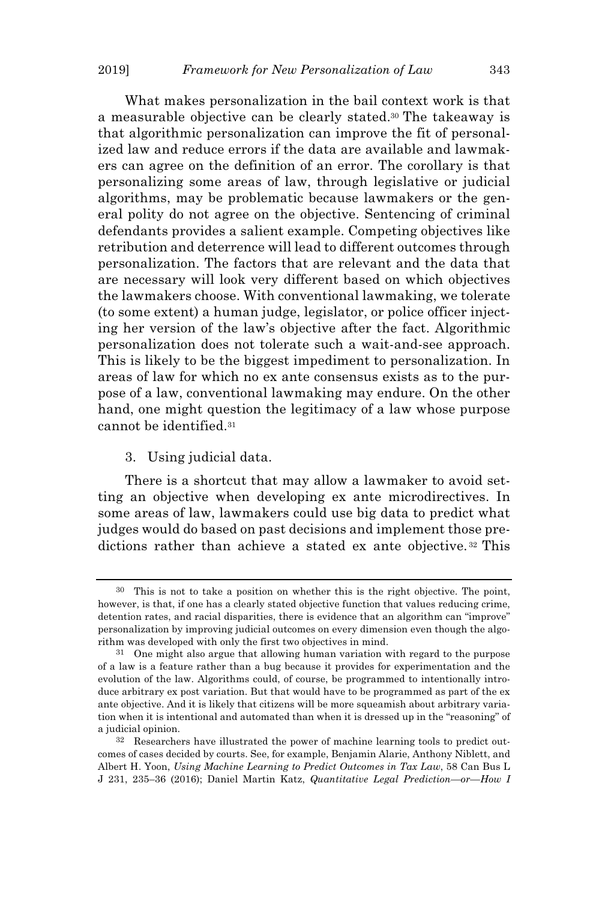What makes personalization in the bail context work is that a measurable objective can be clearly stated.<sup>30</sup> The takeaway is that algorithmic personalization can improve the fit of personalized law and reduce errors if the data are available and lawmakers can agree on the definition of an error. The corollary is that personalizing some areas of law, through legislative or judicial algorithms, may be problematic because lawmakers or the general polity do not agree on the objective. Sentencing of criminal defendants provides a salient example. Competing objectives like retribution and deterrence will lead to different outcomes through personalization. The factors that are relevant and the data that are necessary will look very different based on which objectives the lawmakers choose. With conventional lawmaking, we tolerate (to some extent) a human judge, legislator, or police officer injecting her version of the law's objective after the fact. Algorithmic personalization does not tolerate such a wait-and-see approach. This is likely to be the biggest impediment to personalization. In areas of law for which no ex ante consensus exists as to the purpose of a law, conventional lawmaking may endure. On the other hand, one might question the legitimacy of a law whose purpose cannot be identified.<sup>31</sup>

## 3. Using judicial data.

There is a shortcut that may allow a lawmaker to avoid setting an objective when developing ex ante microdirectives. In some areas of law, lawmakers could use big data to predict what judges would do based on past decisions and implement those predictions rather than achieve a stated ex ante objective. <sup>32</sup> This

<sup>30</sup> This is not to take a position on whether this is the right objective. The point, however, is that, if one has a clearly stated objective function that values reducing crime, detention rates, and racial disparities, there is evidence that an algorithm can "improve" personalization by improving judicial outcomes on every dimension even though the algorithm was developed with only the first two objectives in mind.

<sup>31</sup> One might also argue that allowing human variation with regard to the purpose of a law is a feature rather than a bug because it provides for experimentation and the evolution of the law. Algorithms could, of course, be programmed to intentionally introduce arbitrary ex post variation. But that would have to be programmed as part of the ex ante objective. And it is likely that citizens will be more squeamish about arbitrary variation when it is intentional and automated than when it is dressed up in the "reasoning" of a judicial opinion.

<sup>32</sup> Researchers have illustrated the power of machine learning tools to predict outcomes of cases decided by courts. See, for example, Benjamin Alarie, Anthony Niblett, and Albert H. Yoon, *Using Machine Learning to Predict Outcomes in Tax Law*, 58 Can Bus L J 231, 235–36 (2016); Daniel Martin Katz, *Quantitative Legal Prediction—or—How I*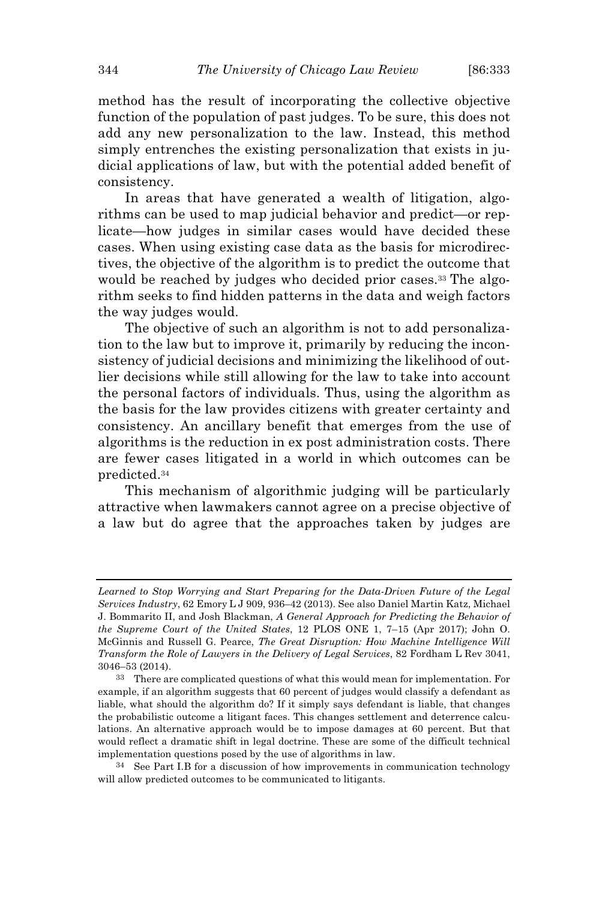method has the result of incorporating the collective objective function of the population of past judges. To be sure, this does not add any new personalization to the law. Instead, this method simply entrenches the existing personalization that exists in judicial applications of law, but with the potential added benefit of consistency.

In areas that have generated a wealth of litigation, algorithms can be used to map judicial behavior and predict—or replicate—how judges in similar cases would have decided these cases. When using existing case data as the basis for microdirectives, the objective of the algorithm is to predict the outcome that would be reached by judges who decided prior cases.<sup>33</sup> The algorithm seeks to find hidden patterns in the data and weigh factors the way judges would.

The objective of such an algorithm is not to add personalization to the law but to improve it, primarily by reducing the inconsistency of judicial decisions and minimizing the likelihood of outlier decisions while still allowing for the law to take into account the personal factors of individuals. Thus, using the algorithm as the basis for the law provides citizens with greater certainty and consistency. An ancillary benefit that emerges from the use of algorithms is the reduction in ex post administration costs. There are fewer cases litigated in a world in which outcomes can be predicted.<sup>34</sup>

This mechanism of algorithmic judging will be particularly attractive when lawmakers cannot agree on a precise objective of a law but do agree that the approaches taken by judges are

*Learned to Stop Worrying and Start Preparing for the Data-Driven Future of the Legal Services Industry*, 62 Emory L J 909, 936–42 (2013). See also Daniel Martin Katz, Michael J. Bommarito II, and Josh Blackman, *A General Approach for Predicting the Behavior of the Supreme Court of the United States*, 12 PLOS ONE 1, 7–15 (Apr 2017); John O. McGinnis and Russell G. Pearce, *The Great Disruption: How Machine Intelligence Will Transform the Role of Lawyers in the Delivery of Legal Services*, 82 Fordham L Rev 3041, 3046–53 (2014).

<sup>33</sup> There are complicated questions of what this would mean for implementation. For example, if an algorithm suggests that 60 percent of judges would classify a defendant as liable, what should the algorithm do? If it simply says defendant is liable, that changes the probabilistic outcome a litigant faces. This changes settlement and deterrence calculations. An alternative approach would be to impose damages at 60 percent. But that would reflect a dramatic shift in legal doctrine. These are some of the difficult technical implementation questions posed by the use of algorithms in law.

<sup>34</sup> See Part I.B for a discussion of how improvements in communication technology will allow predicted outcomes to be communicated to litigants.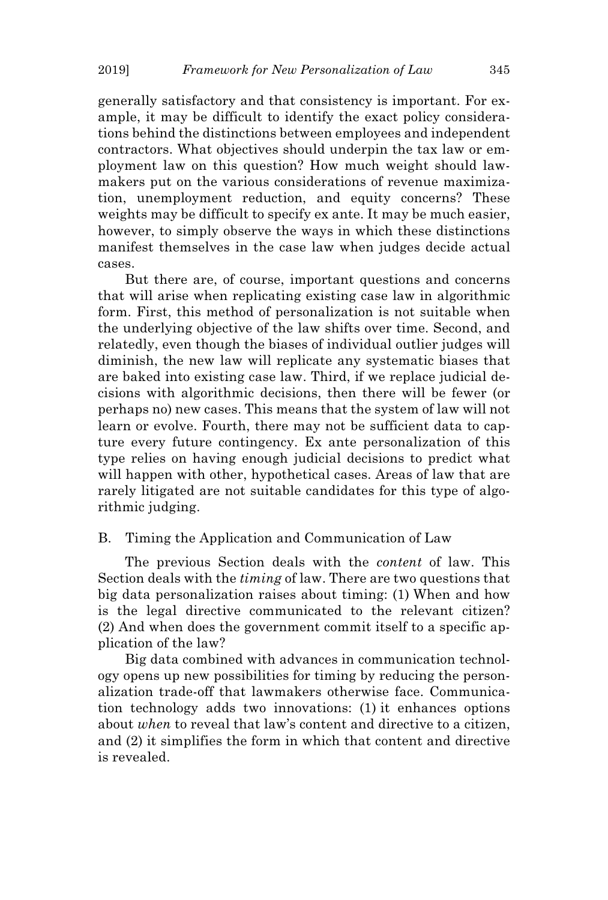generally satisfactory and that consistency is important. For example, it may be difficult to identify the exact policy considerations behind the distinctions between employees and independent contractors. What objectives should underpin the tax law or employment law on this question? How much weight should lawmakers put on the various considerations of revenue maximization, unemployment reduction, and equity concerns? These weights may be difficult to specify ex ante. It may be much easier, however, to simply observe the ways in which these distinctions manifest themselves in the case law when judges decide actual cases.

But there are, of course, important questions and concerns that will arise when replicating existing case law in algorithmic form. First, this method of personalization is not suitable when the underlying objective of the law shifts over time. Second, and relatedly, even though the biases of individual outlier judges will diminish, the new law will replicate any systematic biases that are baked into existing case law. Third, if we replace judicial decisions with algorithmic decisions, then there will be fewer (or perhaps no) new cases. This means that the system of law will not learn or evolve. Fourth, there may not be sufficient data to capture every future contingency. Ex ante personalization of this type relies on having enough judicial decisions to predict what will happen with other, hypothetical cases. Areas of law that are rarely litigated are not suitable candidates for this type of algorithmic judging.

#### B. Timing the Application and Communication of Law

The previous Section deals with the *content* of law. This Section deals with the *timing* of law. There are two questions that big data personalization raises about timing: (1) When and how is the legal directive communicated to the relevant citizen? (2) And when does the government commit itself to a specific application of the law?

Big data combined with advances in communication technology opens up new possibilities for timing by reducing the personalization trade-off that lawmakers otherwise face. Communication technology adds two innovations: (1) it enhances options about *when* to reveal that law's content and directive to a citizen, and (2) it simplifies the form in which that content and directive is revealed.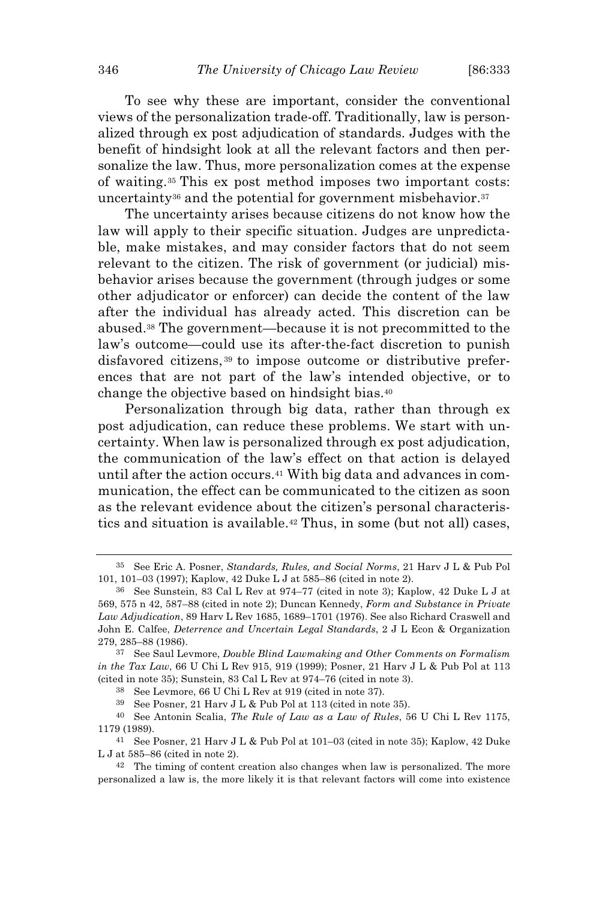To see why these are important, consider the conventional views of the personalization trade-off. Traditionally, law is personalized through ex post adjudication of standards. Judges with the benefit of hindsight look at all the relevant factors and then personalize the law. Thus, more personalization comes at the expense of waiting.<sup>35</sup> This ex post method imposes two important costs: uncertainty<sup>36</sup> and the potential for government misbehavior.<sup>37</sup>

The uncertainty arises because citizens do not know how the law will apply to their specific situation. Judges are unpredictable, make mistakes, and may consider factors that do not seem relevant to the citizen. The risk of government (or judicial) misbehavior arises because the government (through judges or some other adjudicator or enforcer) can decide the content of the law after the individual has already acted. This discretion can be abused.<sup>38</sup> The government—because it is not precommitted to the law's outcome—could use its after-the-fact discretion to punish disfavored citizens, <sup>39</sup> to impose outcome or distributive preferences that are not part of the law's intended objective, or to change the objective based on hindsight bias.<sup>40</sup>

Personalization through big data, rather than through ex post adjudication, can reduce these problems. We start with uncertainty. When law is personalized through ex post adjudication, the communication of the law's effect on that action is delayed until after the action occurs.<sup>41</sup> With big data and advances in communication, the effect can be communicated to the citizen as soon as the relevant evidence about the citizen's personal characteristics and situation is available.<sup>42</sup> Thus, in some (but not all) cases,

<sup>35</sup> See Eric A. Posner, *Standards, Rules, and Social Norms*, 21 Harv J L & Pub Pol 101, 101–03 (1997); Kaplow, 42 Duke L J at 585–86 (cited in note 2).

<sup>36</sup> See Sunstein, 83 Cal L Rev at 974–77 (cited in note 3); Kaplow, 42 Duke L J at 569, 575 n 42, 587–88 (cited in note 2); Duncan Kennedy, *Form and Substance in Private Law Adjudication*, 89 Harv L Rev 1685, 1689–1701 (1976). See also Richard Craswell and John E. Calfee, *Deterrence and Uncertain Legal Standards*, 2 J L Econ & Organization 279, 285–88 (1986).

<sup>37</sup> See Saul Levmore, *Double Blind Lawmaking and Other Comments on Formalism in the Tax Law*, 66 U Chi L Rev 915, 919 (1999); Posner, 21 Harv J L & Pub Pol at 113 (cited in note 35); Sunstein, 83 Cal L Rev at 974–76 (cited in note 3).

<sup>38</sup> See Levmore, 66 U Chi L Rev at 919 (cited in note 37).

<sup>39</sup> See Posner, 21 Harv J L & Pub Pol at 113 (cited in note 35).

<sup>40</sup> See Antonin Scalia, *The Rule of Law as a Law of Rules*, 56 U Chi L Rev 1175, 1179 (1989).

<sup>41</sup> See Posner, 21 Harv J L & Pub Pol at 101–03 (cited in note 35); Kaplow, 42 Duke L J at 585–86 (cited in note 2).

 $42$  The timing of content creation also changes when law is personalized. The more personalized a law is, the more likely it is that relevant factors will come into existence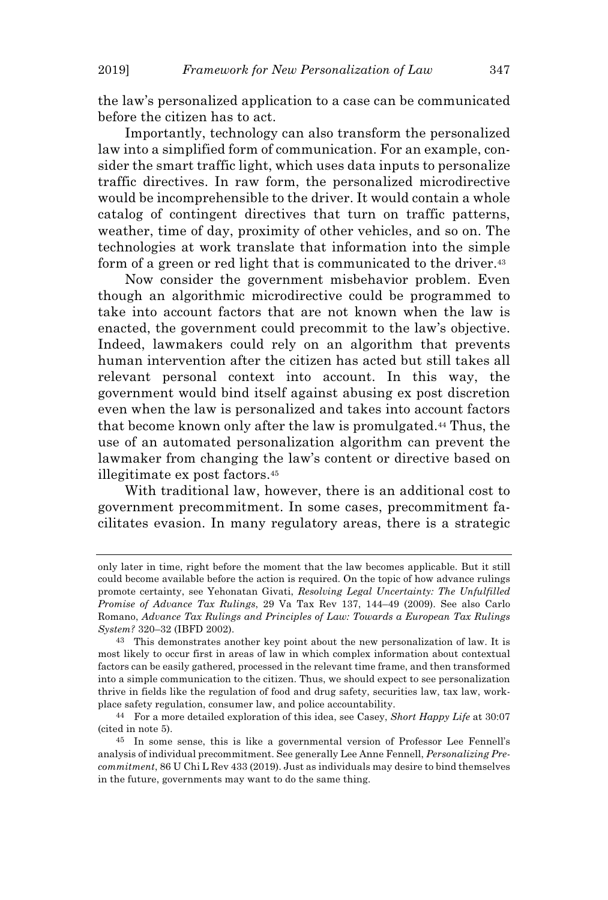the law's personalized application to a case can be communicated before the citizen has to act.

Importantly, technology can also transform the personalized law into a simplified form of communication. For an example, consider the smart traffic light, which uses data inputs to personalize traffic directives. In raw form, the personalized microdirective would be incomprehensible to the driver. It would contain a whole catalog of contingent directives that turn on traffic patterns, weather, time of day, proximity of other vehicles, and so on. The technologies at work translate that information into the simple form of a green or red light that is communicated to the driver.<sup>43</sup>

Now consider the government misbehavior problem. Even though an algorithmic microdirective could be programmed to take into account factors that are not known when the law is enacted, the government could precommit to the law's objective. Indeed, lawmakers could rely on an algorithm that prevents human intervention after the citizen has acted but still takes all relevant personal context into account. In this way, the government would bind itself against abusing ex post discretion even when the law is personalized and takes into account factors that become known only after the law is promulgated.<sup>44</sup> Thus, the use of an automated personalization algorithm can prevent the lawmaker from changing the law's content or directive based on illegitimate ex post factors.<sup>45</sup>

With traditional law, however, there is an additional cost to government precommitment. In some cases, precommitment facilitates evasion. In many regulatory areas, there is a strategic

only later in time, right before the moment that the law becomes applicable. But it still could become available before the action is required. On the topic of how advance rulings promote certainty, see Yehonatan Givati, *Resolving Legal Uncertainty: The Unfulfilled Promise of Advance Tax Rulings*, 29 Va Tax Rev 137, 144–49 (2009). See also Carlo Romano, *Advance Tax Rulings and Principles of Law: Towards a European Tax Rulings System?* 320–32 (IBFD 2002).

<sup>43</sup> This demonstrates another key point about the new personalization of law. It is most likely to occur first in areas of law in which complex information about contextual factors can be easily gathered, processed in the relevant time frame, and then transformed into a simple communication to the citizen. Thus, we should expect to see personalization thrive in fields like the regulation of food and drug safety, securities law, tax law, workplace safety regulation, consumer law, and police accountability.

<sup>44</sup> For a more detailed exploration of this idea, see Casey, *Short Happy Life* at 30:07 (cited in note 5).

<sup>45</sup> In some sense, this is like a governmental version of Professor Lee Fennell's analysis of individual precommitment. See generally Lee Anne Fennell, *Personalizing Precommitment*, 86 U Chi L Rev 433 (2019). Just as individuals may desire to bind themselves in the future, governments may want to do the same thing.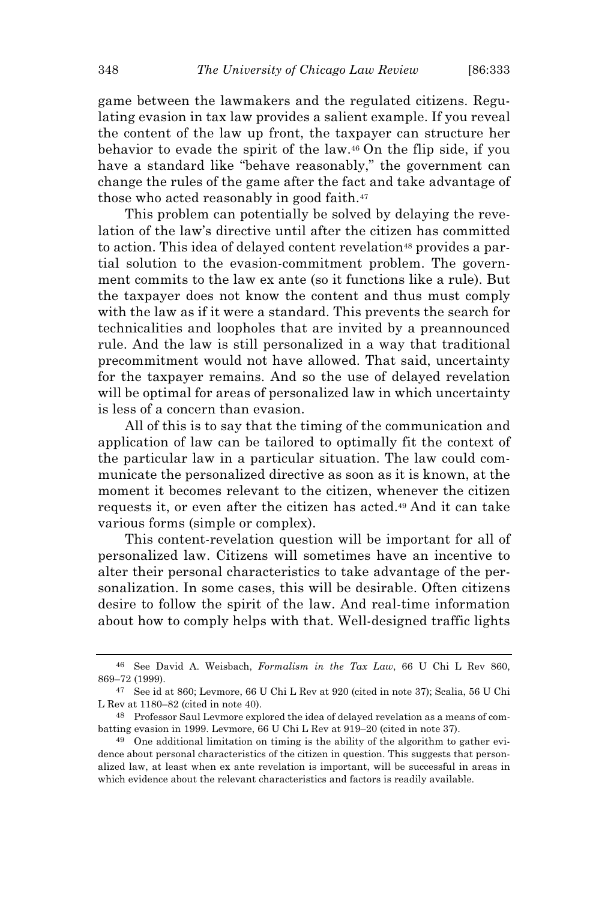game between the lawmakers and the regulated citizens. Regulating evasion in tax law provides a salient example. If you reveal the content of the law up front, the taxpayer can structure her behavior to evade the spirit of the law.<sup>46</sup> On the flip side, if you have a standard like "behave reasonably," the government can change the rules of the game after the fact and take advantage of those who acted reasonably in good faith.<sup>47</sup>

This problem can potentially be solved by delaying the revelation of the law's directive until after the citizen has committed to action. This idea of delayed content revelation<sup>48</sup> provides a partial solution to the evasion-commitment problem. The government commits to the law ex ante (so it functions like a rule). But the taxpayer does not know the content and thus must comply with the law as if it were a standard. This prevents the search for technicalities and loopholes that are invited by a preannounced rule. And the law is still personalized in a way that traditional precommitment would not have allowed. That said, uncertainty for the taxpayer remains. And so the use of delayed revelation will be optimal for areas of personalized law in which uncertainty is less of a concern than evasion.

All of this is to say that the timing of the communication and application of law can be tailored to optimally fit the context of the particular law in a particular situation. The law could communicate the personalized directive as soon as it is known, at the moment it becomes relevant to the citizen, whenever the citizen requests it, or even after the citizen has acted.<sup>49</sup> And it can take various forms (simple or complex).

This content-revelation question will be important for all of personalized law. Citizens will sometimes have an incentive to alter their personal characteristics to take advantage of the personalization. In some cases, this will be desirable. Often citizens desire to follow the spirit of the law. And real-time information about how to comply helps with that. Well-designed traffic lights

<sup>46</sup> See David A. Weisbach, *Formalism in the Tax Law*, 66 U Chi L Rev 860, 869–72 (1999).

<sup>47</sup> See id at 860; Levmore, 66 U Chi L Rev at 920 (cited in note 37); Scalia, 56 U Chi L Rev at 1180–82 (cited in note 40).

<sup>48</sup> Professor Saul Levmore explored the idea of delayed revelation as a means of combatting evasion in 1999. Levmore, 66 U Chi L Rev at 919–20 (cited in note 37).

<sup>49</sup> One additional limitation on timing is the ability of the algorithm to gather evidence about personal characteristics of the citizen in question. This suggests that personalized law, at least when ex ante revelation is important, will be successful in areas in which evidence about the relevant characteristics and factors is readily available.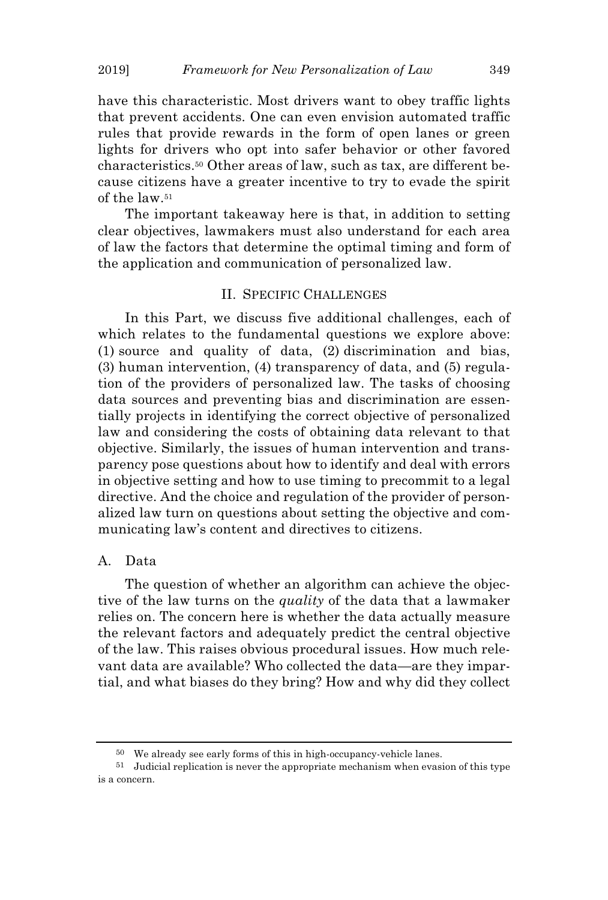have this characteristic. Most drivers want to obey traffic lights that prevent accidents. One can even envision automated traffic rules that provide rewards in the form of open lanes or green lights for drivers who opt into safer behavior or other favored characteristics.<sup>50</sup> Other areas of law, such as tax, are different because citizens have a greater incentive to try to evade the spirit of the law.<sup>51</sup>

The important takeaway here is that, in addition to setting clear objectives, lawmakers must also understand for each area of law the factors that determine the optimal timing and form of the application and communication of personalized law.

## II. SPECIFIC CHALLENGES

In this Part, we discuss five additional challenges, each of which relates to the fundamental questions we explore above: (1) source and quality of data, (2) discrimination and bias, (3) human intervention, (4) transparency of data, and (5) regulation of the providers of personalized law. The tasks of choosing data sources and preventing bias and discrimination are essentially projects in identifying the correct objective of personalized law and considering the costs of obtaining data relevant to that objective. Similarly, the issues of human intervention and transparency pose questions about how to identify and deal with errors in objective setting and how to use timing to precommit to a legal directive. And the choice and regulation of the provider of personalized law turn on questions about setting the objective and communicating law's content and directives to citizens.

## A. Data

The question of whether an algorithm can achieve the objective of the law turns on the *quality* of the data that a lawmaker relies on. The concern here is whether the data actually measure the relevant factors and adequately predict the central objective of the law. This raises obvious procedural issues. How much relevant data are available? Who collected the data—are they impartial, and what biases do they bring? How and why did they collect

<sup>50</sup> We already see early forms of this in high-occupancy-vehicle lanes.

<sup>51</sup> Judicial replication is never the appropriate mechanism when evasion of this type is a concern.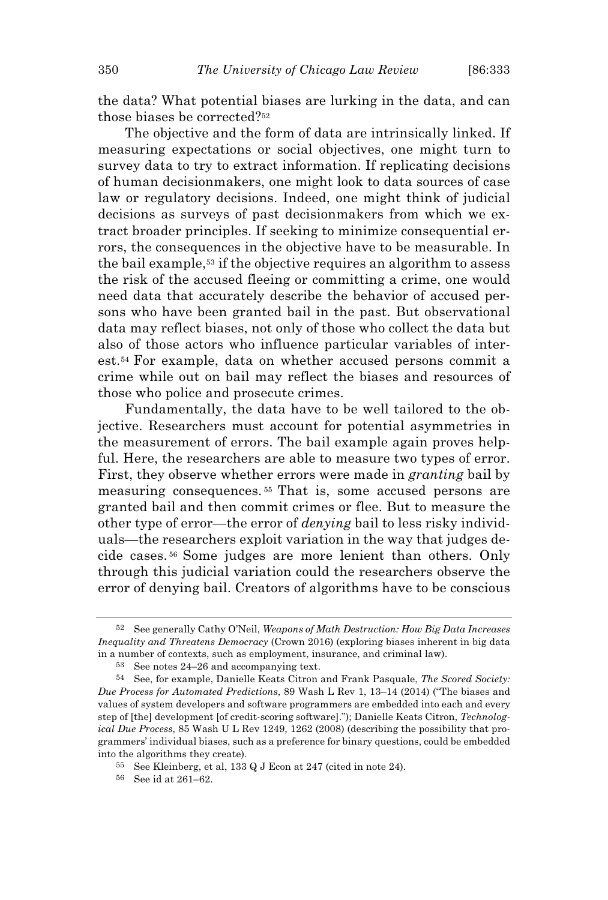the data? What potential biases are lurking in the data, and can those biases be corrected?<sup>52</sup>

The objective and the form of data are intrinsically linked. If measuring expectations or social objectives, one might turn to survey data to try to extract information. If replicating decisions of human decisionmakers, one might look to data sources of case law or regulatory decisions. Indeed, one might think of judicial decisions as surveys of past decisionmakers from which we extract broader principles. If seeking to minimize consequential errors, the consequences in the objective have to be measurable. In the bail example,<sup>53</sup> if the objective requires an algorithm to assess the risk of the accused fleeing or committing a crime, one would need data that accurately describe the behavior of accused persons who have been granted bail in the past. But observational data may reflect biases, not only of those who collect the data but also of those actors who influence particular variables of interest.<sup>54</sup> For example, data on whether accused persons commit a crime while out on bail may reflect the biases and resources of those who police and prosecute crimes.

Fundamentally, the data have to be well tailored to the objective. Researchers must account for potential asymmetries in the measurement of errors. The bail example again proves helpful. Here, the researchers are able to measure two types of error. First, they observe whether errors were made in *granting* bail by measuring consequences. <sup>55</sup> That is, some accused persons are granted bail and then commit crimes or flee. But to measure the other type of error—the error of *denying* bail to less risky individuals—the researchers exploit variation in the way that judges decide cases. <sup>56</sup> Some judges are more lenient than others. Only through this judicial variation could the researchers observe the error of denying bail. Creators of algorithms have to be conscious

<sup>52</sup> See generally Cathy O'Neil, *Weapons of Math Destruction: How Big Data Increases Inequality and Threatens Democracy* (Crown 2016) (exploring biases inherent in big data in a number of contexts, such as employment, insurance, and criminal law).

See notes 24–26 and accompanying text.

<sup>54</sup> See, for example, Danielle Keats Citron and Frank Pasquale, *The Scored Society: Due Process for Automated Predictions*, 89 Wash L Rev 1, 13–14 (2014) ("The biases and values of system developers and software programmers are embedded into each and every step of [the] development [of credit-scoring software]."); Danielle Keats Citron, *Technological Due Process*, 85 Wash U L Rev 1249, 1262 (2008) (describing the possibility that programmers' individual biases, such as a preference for binary questions, could be embedded into the algorithms they create).

<sup>55</sup> See Kleinberg, et al, 133 Q J Econ at 247 (cited in note 24).

<sup>56</sup> See id at 261–62.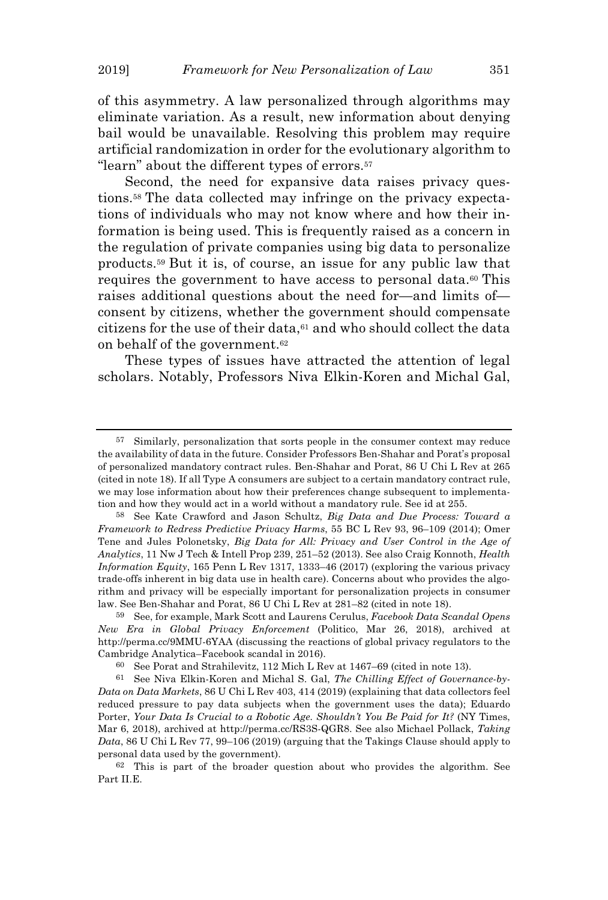of this asymmetry. A law personalized through algorithms may eliminate variation. As a result, new information about denying bail would be unavailable. Resolving this problem may require artificial randomization in order for the evolutionary algorithm to "learn" about the different types of errors.<sup>57</sup>

Second, the need for expansive data raises privacy questions.<sup>58</sup> The data collected may infringe on the privacy expectations of individuals who may not know where and how their information is being used. This is frequently raised as a concern in the regulation of private companies using big data to personalize products.<sup>59</sup> But it is, of course, an issue for any public law that requires the government to have access to personal data.<sup>60</sup> This raises additional questions about the need for—and limits of consent by citizens, whether the government should compensate citizens for the use of their data, $61$  and who should collect the data on behalf of the government.<sup>62</sup>

These types of issues have attracted the attention of legal scholars. Notably, Professors Niva Elkin-Koren and Michal Gal,

<sup>57</sup> Similarly, personalization that sorts people in the consumer context may reduce the availability of data in the future. Consider Professors Ben-Shahar and Porat's proposal of personalized mandatory contract rules. Ben-Shahar and Porat, 86 U Chi L Rev at 265 (cited in note 18). If all Type A consumers are subject to a certain mandatory contract rule, we may lose information about how their preferences change subsequent to implementation and how they would act in a world without a mandatory rule. See id at 255.

<sup>58</sup> See Kate Crawford and Jason Schultz, *Big Data and Due Process: Toward a Framework to Redress Predictive Privacy Harms*, 55 BC L Rev 93, 96–109 (2014); Omer Tene and Jules Polonetsky, *Big Data for All: Privacy and User Control in the Age of Analytics*, 11 Nw J Tech & Intell Prop 239, 251–52 (2013). See also Craig Konnoth, *Health Information Equity*, 165 Penn L Rev 1317, 1333–46 (2017) (exploring the various privacy trade-offs inherent in big data use in health care). Concerns about who provides the algorithm and privacy will be especially important for personalization projects in consumer law. See Ben-Shahar and Porat, 86 U Chi L Rev at 281–82 (cited in note 18).

<sup>59</sup> See, for example, Mark Scott and Laurens Cerulus, *Facebook Data Scandal Opens New Era in Global Privacy Enforcement* (Politico, Mar 26, 2018), archived at http://perma.cc/9MMU-6YAA (discussing the reactions of global privacy regulators to the Cambridge Analytica–Facebook scandal in 2016).

<sup>60</sup> See Porat and Strahilevitz, 112 Mich L Rev at 1467–69 (cited in note 13).

<sup>61</sup> See Niva Elkin-Koren and Michal S. Gal, *The Chilling Effect of Governance-by-Data on Data Markets*, 86 U Chi L Rev 403, 414 (2019) (explaining that data collectors feel reduced pressure to pay data subjects when the government uses the data); Eduardo Porter, *Your Data Is Crucial to a Robotic Age. Shouldn't You Be Paid for It?* (NY Times, Mar 6, 2018), archived at http://perma.cc/RS3S-QGR8. See also Michael Pollack, *Taking Data*, 86 U Chi L Rev 77, 99–106 (2019) (arguing that the Takings Clause should apply to personal data used by the government).

<sup>62</sup> This is part of the broader question about who provides the algorithm. See Part II.E.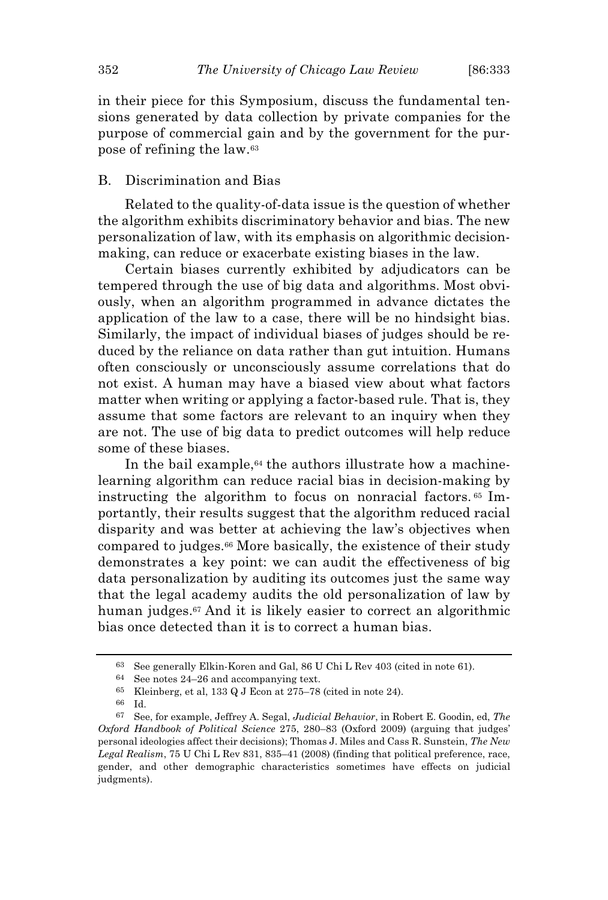in their piece for this Symposium, discuss the fundamental tensions generated by data collection by private companies for the purpose of commercial gain and by the government for the purpose of refining the law.<sup>63</sup>

## B. Discrimination and Bias

Related to the quality-of-data issue is the question of whether the algorithm exhibits discriminatory behavior and bias. The new personalization of law, with its emphasis on algorithmic decisionmaking, can reduce or exacerbate existing biases in the law.

Certain biases currently exhibited by adjudicators can be tempered through the use of big data and algorithms. Most obviously, when an algorithm programmed in advance dictates the application of the law to a case, there will be no hindsight bias. Similarly, the impact of individual biases of judges should be reduced by the reliance on data rather than gut intuition. Humans often consciously or unconsciously assume correlations that do not exist. A human may have a biased view about what factors matter when writing or applying a factor-based rule. That is, they assume that some factors are relevant to an inquiry when they are not. The use of big data to predict outcomes will help reduce some of these biases.

In the bail example,<sup>64</sup> the authors illustrate how a machinelearning algorithm can reduce racial bias in decision-making by instructing the algorithm to focus on nonracial factors. <sup>65</sup> Importantly, their results suggest that the algorithm reduced racial disparity and was better at achieving the law's objectives when compared to judges.<sup>66</sup> More basically, the existence of their study demonstrates a key point: we can audit the effectiveness of big data personalization by auditing its outcomes just the same way that the legal academy audits the old personalization of law by human judges.<sup>67</sup> And it is likely easier to correct an algorithmic bias once detected than it is to correct a human bias.

<sup>63</sup> See generally Elkin-Koren and Gal, 86 U Chi L Rev 403 (cited in note 61).

<sup>64</sup> See notes 24–26 and accompanying text.

<sup>65</sup> Kleinberg, et al, 133 Q J Econ at 275–78 (cited in note 24).

<sup>66</sup> Id.

<sup>67</sup> See, for example, Jeffrey A. Segal, *Judicial Behavior*, in Robert E. Goodin, ed, *The Oxford Handbook of Political Science* 275, 280–83 (Oxford 2009) (arguing that judges' personal ideologies affect their decisions); Thomas J. Miles and Cass R. Sunstein, *The New Legal Realism*, 75 U Chi L Rev 831, 835–41 (2008) (finding that political preference, race, gender, and other demographic characteristics sometimes have effects on judicial judgments).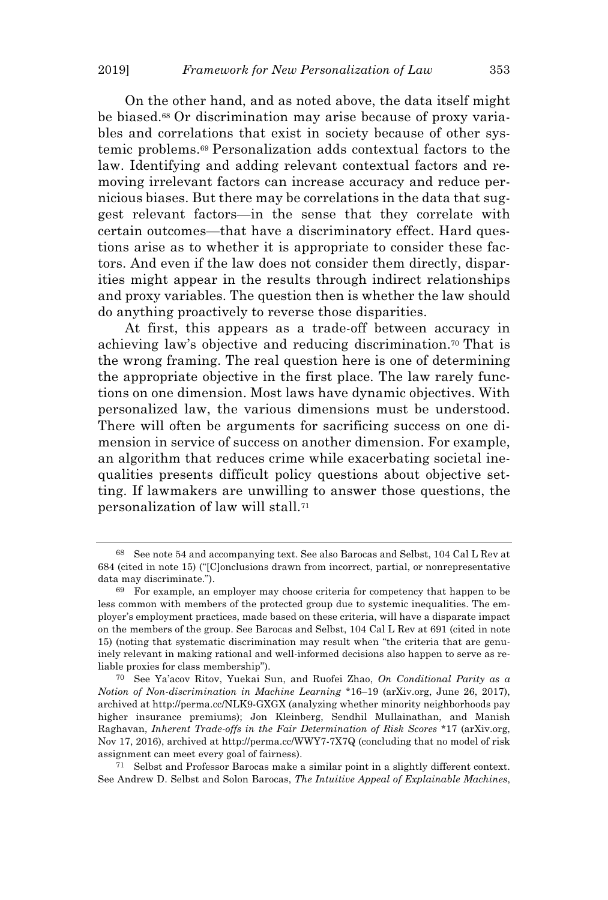On the other hand, and as noted above, the data itself might be biased.<sup>68</sup> Or discrimination may arise because of proxy variables and correlations that exist in society because of other systemic problems.<sup>69</sup> Personalization adds contextual factors to the law. Identifying and adding relevant contextual factors and removing irrelevant factors can increase accuracy and reduce pernicious biases. But there may be correlations in the data that suggest relevant factors—in the sense that they correlate with certain outcomes—that have a discriminatory effect. Hard questions arise as to whether it is appropriate to consider these factors. And even if the law does not consider them directly, disparities might appear in the results through indirect relationships and proxy variables. The question then is whether the law should do anything proactively to reverse those disparities.

At first, this appears as a trade-off between accuracy in achieving law's objective and reducing discrimination.<sup>70</sup> That is the wrong framing. The real question here is one of determining the appropriate objective in the first place. The law rarely functions on one dimension. Most laws have dynamic objectives. With personalized law, the various dimensions must be understood. There will often be arguments for sacrificing success on one dimension in service of success on another dimension. For example, an algorithm that reduces crime while exacerbating societal inequalities presents difficult policy questions about objective setting. If lawmakers are unwilling to answer those questions, the personalization of law will stall.<sup>71</sup>

<sup>68</sup> See note 54 and accompanying text. See also Barocas and Selbst, 104 Cal L Rev at 684 (cited in note 15) ("[C]onclusions drawn from incorrect, partial, or nonrepresentative data may discriminate.").

<sup>69</sup> For example, an employer may choose criteria for competency that happen to be less common with members of the protected group due to systemic inequalities. The employer's employment practices, made based on these criteria, will have a disparate impact on the members of the group. See Barocas and Selbst, 104 Cal L Rev at 691 (cited in note 15) (noting that systematic discrimination may result when "the criteria that are genuinely relevant in making rational and well-informed decisions also happen to serve as reliable proxies for class membership").

<sup>70</sup> See Ya'acov Ritov, Yuekai Sun, and Ruofei Zhao, *On Conditional Parity as a Notion of Non-discrimination in Machine Learning* \*16–19 (arXiv.org, June 26, 2017), archived at http://perma.cc/NLK9-GXGX (analyzing whether minority neighborhoods pay higher insurance premiums); Jon Kleinberg, Sendhil Mullainathan, and Manish Raghavan, *Inherent Trade-offs in the Fair Determination of Risk Scores* \*17 (arXiv.org, Nov 17, 2016), archived at http://perma.cc/WWY7-7X7Q (concluding that no model of risk assignment can meet every goal of fairness).

<sup>71</sup> Selbst and Professor Barocas make a similar point in a slightly different context. See Andrew D. Selbst and Solon Barocas, *The Intuitive Appeal of Explainable Machines*,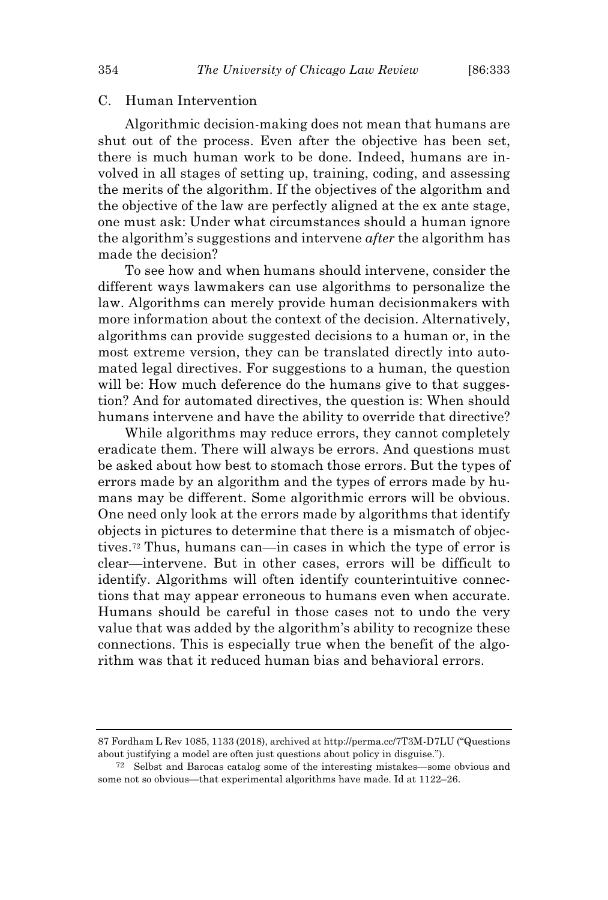## C. Human Intervention

Algorithmic decision-making does not mean that humans are shut out of the process. Even after the objective has been set, there is much human work to be done. Indeed, humans are involved in all stages of setting up, training, coding, and assessing the merits of the algorithm. If the objectives of the algorithm and the objective of the law are perfectly aligned at the ex ante stage, one must ask: Under what circumstances should a human ignore the algorithm's suggestions and intervene *after* the algorithm has made the decision?

To see how and when humans should intervene, consider the different ways lawmakers can use algorithms to personalize the law. Algorithms can merely provide human decisionmakers with more information about the context of the decision. Alternatively, algorithms can provide suggested decisions to a human or, in the most extreme version, they can be translated directly into automated legal directives. For suggestions to a human, the question will be: How much deference do the humans give to that suggestion? And for automated directives, the question is: When should humans intervene and have the ability to override that directive?

While algorithms may reduce errors, they cannot completely eradicate them. There will always be errors. And questions must be asked about how best to stomach those errors. But the types of errors made by an algorithm and the types of errors made by humans may be different. Some algorithmic errors will be obvious. One need only look at the errors made by algorithms that identify objects in pictures to determine that there is a mismatch of objectives.<sup>72</sup> Thus, humans can—in cases in which the type of error is clear—intervene. But in other cases, errors will be difficult to identify. Algorithms will often identify counterintuitive connections that may appear erroneous to humans even when accurate. Humans should be careful in those cases not to undo the very value that was added by the algorithm's ability to recognize these connections. This is especially true when the benefit of the algorithm was that it reduced human bias and behavioral errors.

<sup>87</sup> Fordham L Rev 1085, 1133 (2018), archived at http://perma.cc/7T3M-D7LU ("Questions about justifying a model are often just questions about policy in disguise.").

<sup>72</sup> Selbst and Barocas catalog some of the interesting mistakes—some obvious and some not so obvious—that experimental algorithms have made. Id at 1122–26.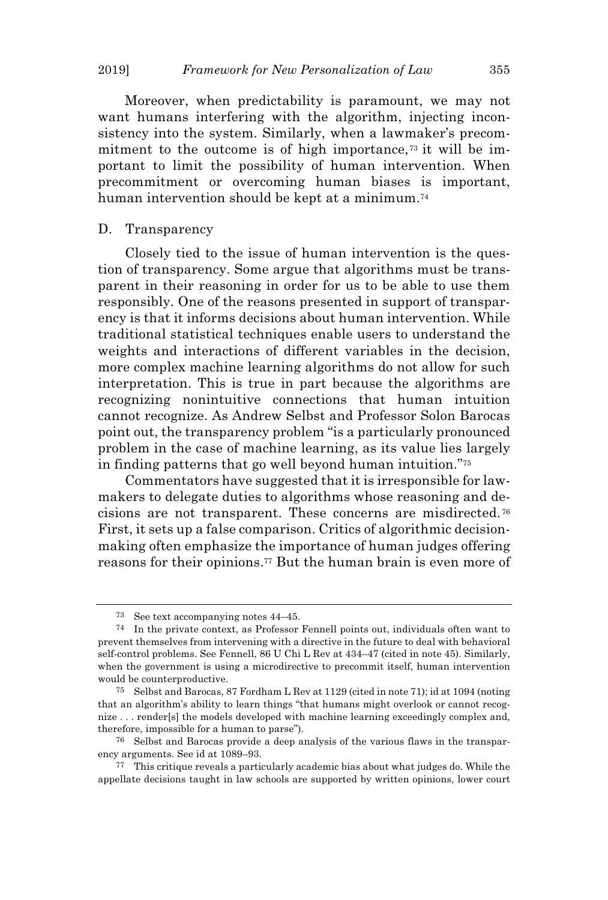Moreover, when predictability is paramount, we may not want humans interfering with the algorithm, injecting inconsistency into the system. Similarly, when a lawmaker's precommitment to the outcome is of high importance, $\tau$ <sup>3</sup> it will be important to limit the possibility of human intervention. When precommitment or overcoming human biases is important, human intervention should be kept at a minimum.<sup>74</sup>

#### D. Transparency

Closely tied to the issue of human intervention is the question of transparency. Some argue that algorithms must be transparent in their reasoning in order for us to be able to use them responsibly. One of the reasons presented in support of transparency is that it informs decisions about human intervention. While traditional statistical techniques enable users to understand the weights and interactions of different variables in the decision, more complex machine learning algorithms do not allow for such interpretation. This is true in part because the algorithms are recognizing nonintuitive connections that human intuition cannot recognize. As Andrew Selbst and Professor Solon Barocas point out, the transparency problem "is a particularly pronounced problem in the case of machine learning, as its value lies largely in finding patterns that go well beyond human intuition."<sup>75</sup>

Commentators have suggested that it is irresponsible for lawmakers to delegate duties to algorithms whose reasoning and decisions are not transparent. These concerns are misdirected. <sup>76</sup> First, it sets up a false comparison. Critics of algorithmic decisionmaking often emphasize the importance of human judges offering reasons for their opinions.<sup>77</sup> But the human brain is even more of

<sup>73</sup> See text accompanying notes 44–45.

<sup>74</sup> In the private context, as Professor Fennell points out, individuals often want to prevent themselves from intervening with a directive in the future to deal with behavioral self-control problems. See Fennell, 86 U Chi L Rev at 434–47 (cited in note 45). Similarly, when the government is using a microdirective to precommit itself, human intervention would be counterproductive.

<sup>75</sup> Selbst and Barocas, 87 Fordham L Rev at 1129 (cited in note 71); id at 1094 (noting that an algorithm's ability to learn things "that humans might overlook or cannot recognize . . . render[s] the models developed with machine learning exceedingly complex and, therefore, impossible for a human to parse").

<sup>76</sup> Selbst and Barocas provide a deep analysis of the various flaws in the transparency arguments. See id at 1089–93.

<sup>77</sup> This critique reveals a particularly academic bias about what judges do. While the appellate decisions taught in law schools are supported by written opinions, lower court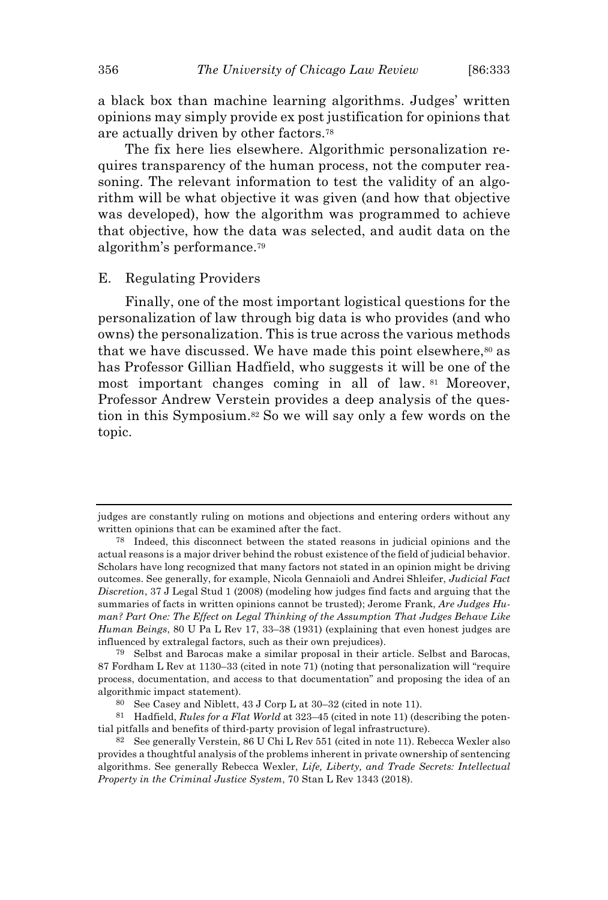a black box than machine learning algorithms. Judges' written opinions may simply provide ex post justification for opinions that are actually driven by other factors.<sup>78</sup>

The fix here lies elsewhere. Algorithmic personalization requires transparency of the human process, not the computer reasoning. The relevant information to test the validity of an algorithm will be what objective it was given (and how that objective was developed), how the algorithm was programmed to achieve that objective, how the data was selected, and audit data on the algorithm's performance.<sup>79</sup>

#### E. Regulating Providers

Finally, one of the most important logistical questions for the personalization of law through big data is who provides (and who owns) the personalization. This is true across the various methods that we have discussed. We have made this point elsewhere, $\omega$  as has Professor Gillian Hadfield, who suggests it will be one of the most important changes coming in all of law. <sup>81</sup> Moreover, Professor Andrew Verstein provides a deep analysis of the question in this Symposium.<sup>82</sup> So we will say only a few words on the topic.

judges are constantly ruling on motions and objections and entering orders without any written opinions that can be examined after the fact.

<sup>78</sup> Indeed, this disconnect between the stated reasons in judicial opinions and the actual reasons is a major driver behind the robust existence of the field of judicial behavior. Scholars have long recognized that many factors not stated in an opinion might be driving outcomes. See generally, for example, Nicola Gennaioli and Andrei Shleifer, *Judicial Fact Discretion*, 37 J Legal Stud 1 (2008) (modeling how judges find facts and arguing that the summaries of facts in written opinions cannot be trusted); Jerome Frank, *Are Judges Human? Part One: The Effect on Legal Thinking of the Assumption That Judges Behave Like Human Beings*, 80 U Pa L Rev 17, 33–38 (1931) (explaining that even honest judges are influenced by extralegal factors, such as their own prejudices).

<sup>79</sup> Selbst and Barocas make a similar proposal in their article. Selbst and Barocas, 87 Fordham L Rev at 1130–33 (cited in note 71) (noting that personalization will "require process, documentation, and access to that documentation" and proposing the idea of an algorithmic impact statement).

<sup>80</sup> See Casey and Niblett, 43 J Corp L at 30–32 (cited in note 11).

<sup>81</sup> Hadfield, *Rules for a Flat World* at 323–45 (cited in note 11) (describing the potential pitfalls and benefits of third-party provision of legal infrastructure).

<sup>82</sup> See generally Verstein, 86 U Chi L Rev 551 (cited in note 11). Rebecca Wexler also provides a thoughtful analysis of the problems inherent in private ownership of sentencing algorithms. See generally Rebecca Wexler, *Life, Liberty, and Trade Secrets: Intellectual Property in the Criminal Justice System*, 70 Stan L Rev 1343 (2018).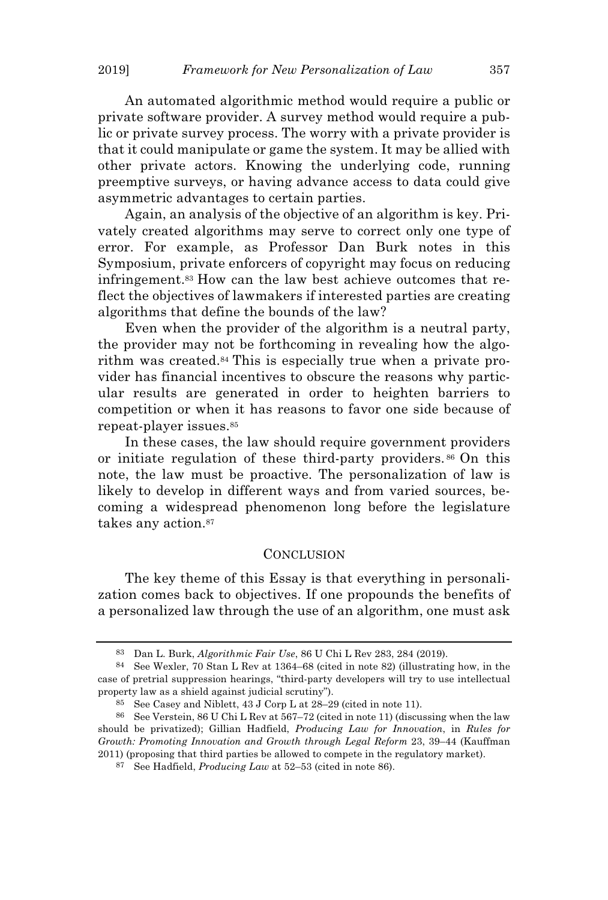An automated algorithmic method would require a public or private software provider. A survey method would require a public or private survey process. The worry with a private provider is that it could manipulate or game the system. It may be allied with other private actors. Knowing the underlying code, running preemptive surveys, or having advance access to data could give asymmetric advantages to certain parties.

Again, an analysis of the objective of an algorithm is key. Privately created algorithms may serve to correct only one type of error. For example, as Professor Dan Burk notes in this Symposium, private enforcers of copyright may focus on reducing infringement.<sup>83</sup> How can the law best achieve outcomes that reflect the objectives of lawmakers if interested parties are creating algorithms that define the bounds of the law?

Even when the provider of the algorithm is a neutral party, the provider may not be forthcoming in revealing how the algorithm was created.<sup>84</sup> This is especially true when a private provider has financial incentives to obscure the reasons why particular results are generated in order to heighten barriers to competition or when it has reasons to favor one side because of repeat-player issues.<sup>85</sup>

In these cases, the law should require government providers or initiate regulation of these third-party providers. <sup>86</sup> On this note, the law must be proactive. The personalization of law is likely to develop in different ways and from varied sources, becoming a widespread phenomenon long before the legislature takes any action.<sup>87</sup>

#### **CONCLUSION**

The key theme of this Essay is that everything in personalization comes back to objectives. If one propounds the benefits of a personalized law through the use of an algorithm, one must ask

<sup>83</sup> Dan L. Burk, *Algorithmic Fair Use*, 86 U Chi L Rev 283, 284 (2019).

<sup>84</sup> See Wexler, 70 Stan L Rev at 1364–68 (cited in note 82) (illustrating how, in the case of pretrial suppression hearings, "third-party developers will try to use intellectual property law as a shield against judicial scrutiny").

<sup>85</sup> See Casey and Niblett, 43 J Corp L at 28–29 (cited in note 11).

<sup>86</sup> See Verstein, 86 U Chi L Rev at 567–72 (cited in note 11) (discussing when the law should be privatized); Gillian Hadfield, *Producing Law for Innovation*, in *Rules for Growth: Promoting Innovation and Growth through Legal Reform* 23, 39–44 (Kauffman 2011) (proposing that third parties be allowed to compete in the regulatory market).

<sup>87</sup> See Hadfield, *Producing Law* at 52–53 (cited in note 86).